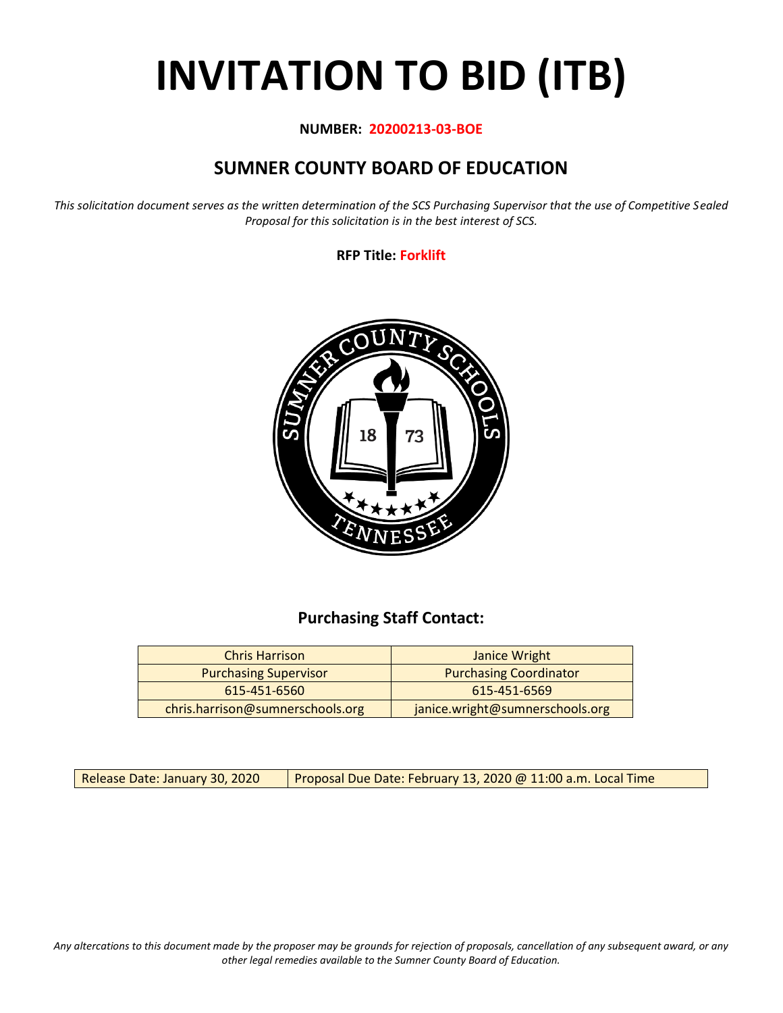# **INVITATION TO BID (ITB)**

#### **NUMBER: 20200213-03-BOE**

# **SUMNER COUNTY BOARD OF EDUCATION**

*This solicitation document serves as the written determination of the SCS Purchasing Supervisor that the use of Competitive Sealed Proposal for this solicitation is in the best interest of SCS.*

**RFP Title: Forklift**



## **Purchasing Staff Contact:**

| <b>Chris Harrison</b>            | Janice Wright                   |
|----------------------------------|---------------------------------|
| <b>Purchasing Supervisor</b>     | <b>Purchasing Coordinator</b>   |
| 615-451-6560                     | 615-451-6569                    |
| chris.harrison@sumnerschools.org | janice.wright@sumnerschools.org |

Release Date: January 30, 2020 | Proposal Due Date: February 13, 2020 @ 11:00 a.m. Local Time

*Any altercations to this document made by the proposer may be grounds for rejection of proposals, cancellation of any subsequent award, or any other legal remedies available to the Sumner County Board of Education.*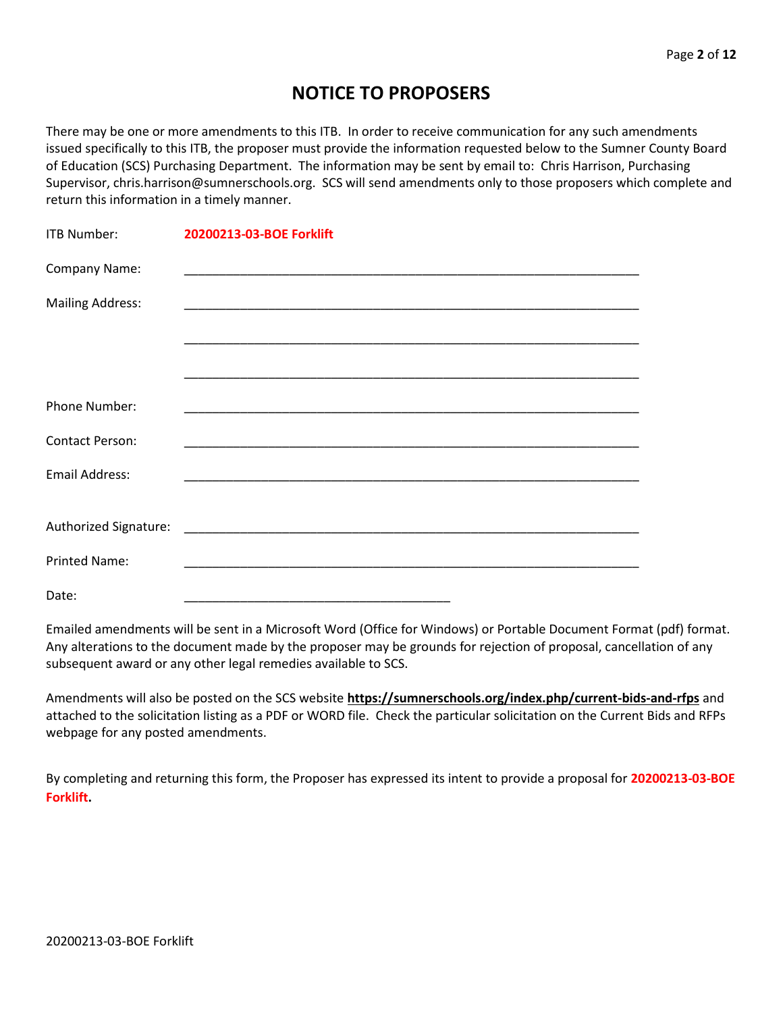## **NOTICE TO PROPOSERS**

There may be one or more amendments to this ITB. In order to receive communication for any such amendments issued specifically to this ITB, the proposer must provide the information requested below to the Sumner County Board of Education (SCS) Purchasing Department. The information may be sent by email to: Chris Harrison, Purchasing Supervisor, chris.harrison@sumnerschools.org. SCS will send amendments only to those proposers which complete and return this information in a timely manner.

| <b>ITB Number:</b>      | 20200213-03-BOE Forklift |
|-------------------------|--------------------------|
| Company Name:           |                          |
| <b>Mailing Address:</b> |                          |
|                         |                          |
|                         |                          |
| Phone Number:           |                          |
| <b>Contact Person:</b>  |                          |
| <b>Email Address:</b>   |                          |
|                         |                          |
| Authorized Signature:   |                          |
| <b>Printed Name:</b>    |                          |
| Date:                   |                          |

Emailed amendments will be sent in a Microsoft Word (Office for Windows) or Portable Document Format (pdf) format. Any alterations to the document made by the proposer may be grounds for rejection of proposal, cancellation of any subsequent award or any other legal remedies available to SCS.

Amendments will also be posted on the SCS website **https://sumnerschools.org/index.php/current-bids-and-rfps** and attached to the solicitation listing as a PDF or WORD file. Check the particular solicitation on the Current Bids and RFPs webpage for any posted amendments.

By completing and returning this form, the Proposer has expressed its intent to provide a proposal for **20200213-03-BOE Forklift.**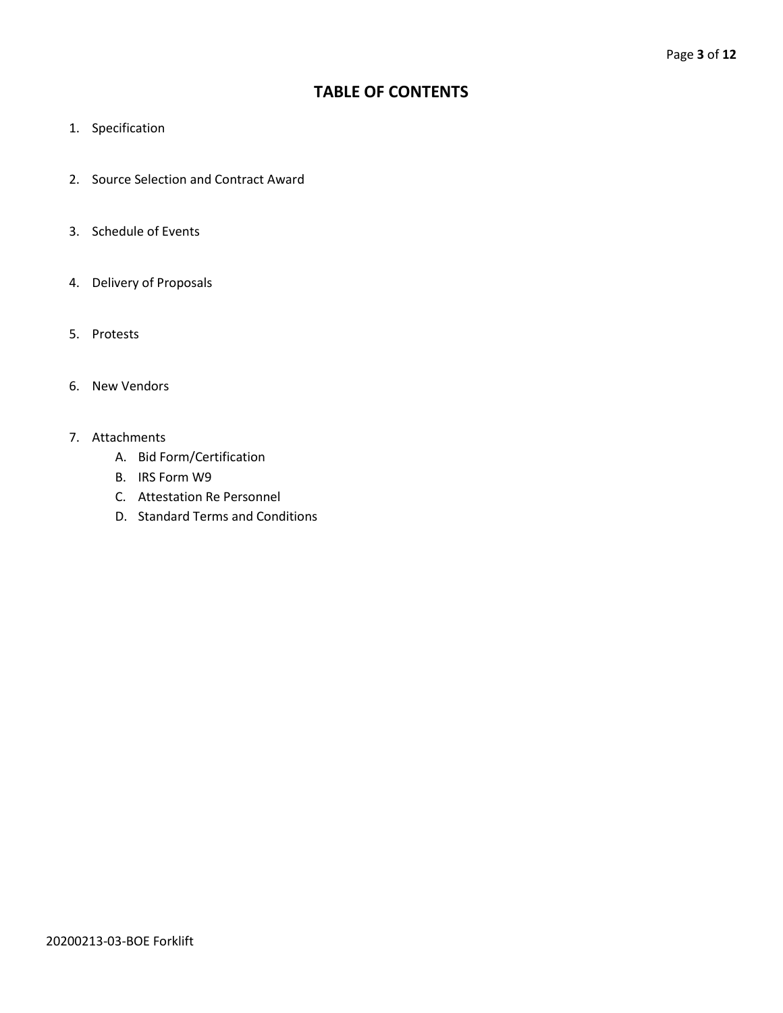## **TABLE OF CONTENTS**

- 1. Specification
- 2. Source Selection and Contract Award
- 3. Schedule of Events
- 4. Delivery of Proposals
- 5. Protests
- 6. New Vendors
- 7. Attachments
	- A. Bid Form/Certification
	- B. IRS Form W9
	- C. Attestation Re Personnel
	- D. Standard Terms and Conditions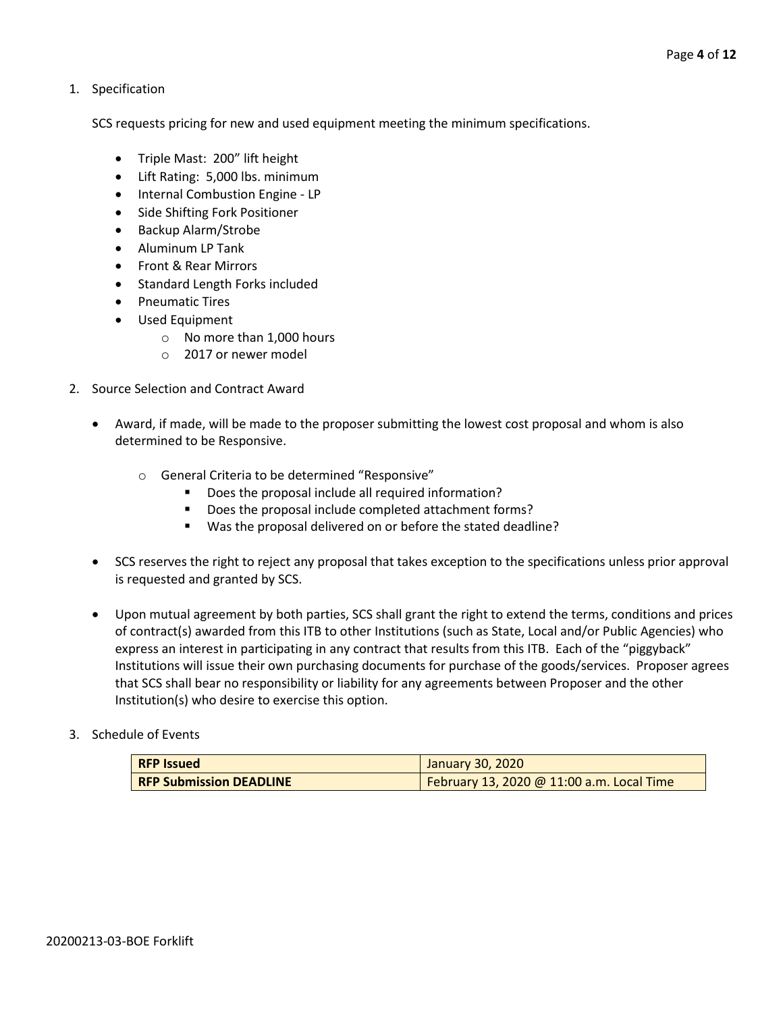1. Specification

SCS requests pricing for new and used equipment meeting the minimum specifications.

- Triple Mast: 200" lift height
- Lift Rating: 5,000 lbs. minimum
- Internal Combustion Engine LP
- Side Shifting Fork Positioner
- Backup Alarm/Strobe
- Aluminum LP Tank
- Front & Rear Mirrors
- Standard Length Forks included
- Pneumatic Tires
- Used Equipment
	- o No more than 1,000 hours
	- o 2017 or newer model
- 2. Source Selection and Contract Award
	- Award, if made, will be made to the proposer submitting the lowest cost proposal and whom is also determined to be Responsive.
		- o General Criteria to be determined "Responsive"
			- Does the proposal include all required information?
			- Does the proposal include completed attachment forms?
			- Was the proposal delivered on or before the stated deadline?
	- SCS reserves the right to reject any proposal that takes exception to the specifications unless prior approval is requested and granted by SCS.
	- Upon mutual agreement by both parties, SCS shall grant the right to extend the terms, conditions and prices of contract(s) awarded from this ITB to other Institutions (such as State, Local and/or Public Agencies) who express an interest in participating in any contract that results from this ITB. Each of the "piggyback" Institutions will issue their own purchasing documents for purchase of the goods/services. Proposer agrees that SCS shall bear no responsibility or liability for any agreements between Proposer and the other Institution(s) who desire to exercise this option.

#### 3. Schedule of Events

| <b>RFP Issued</b>              | January 30, 2020                          |
|--------------------------------|-------------------------------------------|
| <b>RFP Submission DEADLINE</b> | February 13, 2020 @ 11:00 a.m. Local Time |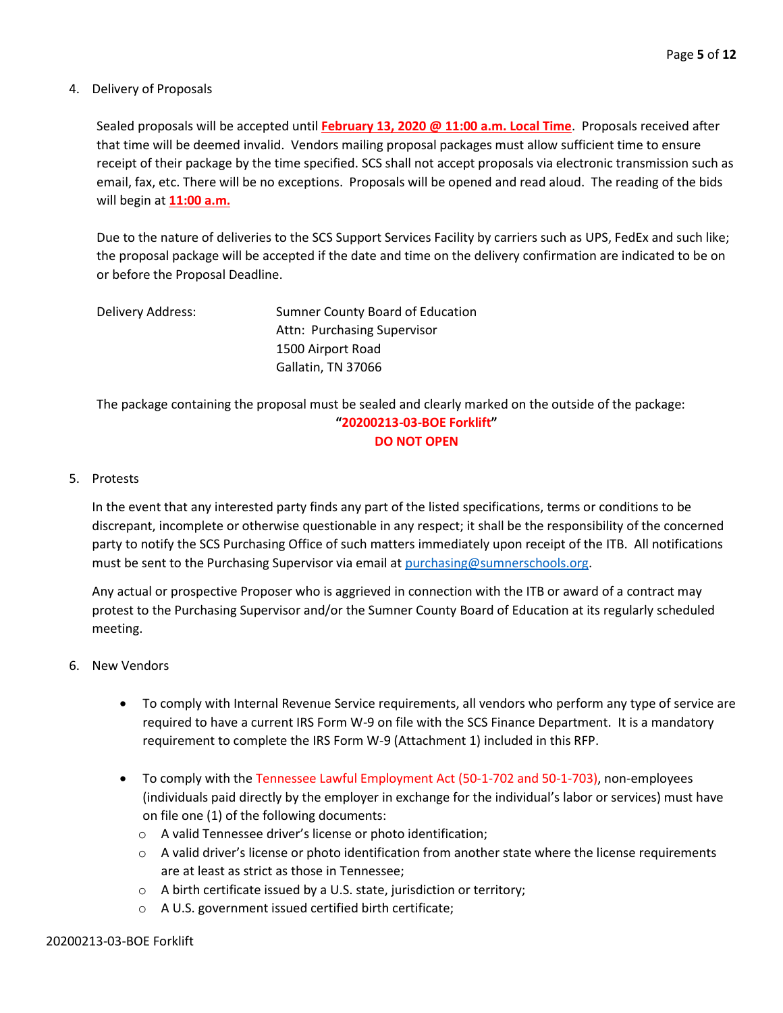#### 4. Delivery of Proposals

Sealed proposals will be accepted until **February 13, 2020 @ 11:00 a.m. Local Time**. Proposals received after that time will be deemed invalid. Vendors mailing proposal packages must allow sufficient time to ensure receipt of their package by the time specified. SCS shall not accept proposals via electronic transmission such as email, fax, etc. There will be no exceptions. Proposals will be opened and read aloud. The reading of the bids will begin at **11:00 a.m.**

Due to the nature of deliveries to the SCS Support Services Facility by carriers such as UPS, FedEx and such like; the proposal package will be accepted if the date and time on the delivery confirmation are indicated to be on or before the Proposal Deadline.

| Delivery Address: | Sumner County Board of Education |  |
|-------------------|----------------------------------|--|
|                   | Attn: Purchasing Supervisor      |  |
|                   | 1500 Airport Road                |  |
|                   | Gallatin, TN 37066               |  |

The package containing the proposal must be sealed and clearly marked on the outside of the package: **"20200213-03-BOE Forklift" DO NOT OPEN**

#### 5. Protests

In the event that any interested party finds any part of the listed specifications, terms or conditions to be discrepant, incomplete or otherwise questionable in any respect; it shall be the responsibility of the concerned party to notify the SCS Purchasing Office of such matters immediately upon receipt of the ITB. All notifications must be sent to the Purchasing Supervisor via email at [purchasing@sumnerschools.org.](mailto:purchasing@sumnerschools.org)

Any actual or prospective Proposer who is aggrieved in connection with the ITB or award of a contract may protest to the Purchasing Supervisor and/or the Sumner County Board of Education at its regularly scheduled meeting.

#### 6. New Vendors

- To comply with Internal Revenue Service requirements, all vendors who perform any type of service are required to have a current IRS Form W-9 on file with the SCS Finance Department. It is a mandatory requirement to complete the IRS Form W-9 (Attachment 1) included in this RFP.
- To comply with the Tennessee Lawful Employment Act (50-1-702 and 50-1-703), non-employees (individuals paid directly by the employer in exchange for the individual's labor or services) must have on file one (1) of the following documents:
	- o A valid Tennessee driver's license or photo identification;
	- $\circ$  A valid driver's license or photo identification from another state where the license requirements are at least as strict as those in Tennessee;
	- o A birth certificate issued by a U.S. state, jurisdiction or territory;
	- o A U.S. government issued certified birth certificate;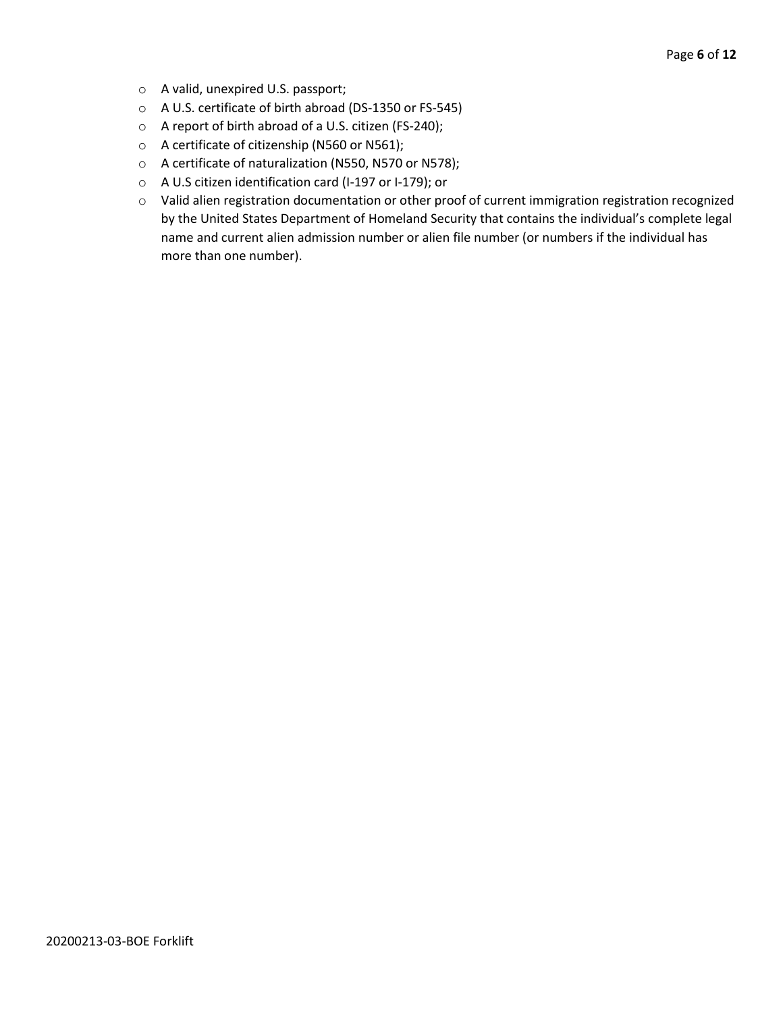- o A valid, unexpired U.S. passport;
- o A U.S. certificate of birth abroad (DS-1350 or FS-545)
- o A report of birth abroad of a U.S. citizen (FS-240);
- o A certificate of citizenship (N560 or N561);
- o A certificate of naturalization (N550, N570 or N578);
- o A U.S citizen identification card (I-197 or I-179); or
- o Valid alien registration documentation or other proof of current immigration registration recognized by the United States Department of Homeland Security that contains the individual's complete legal name and current alien admission number or alien file number (or numbers if the individual has more than one number).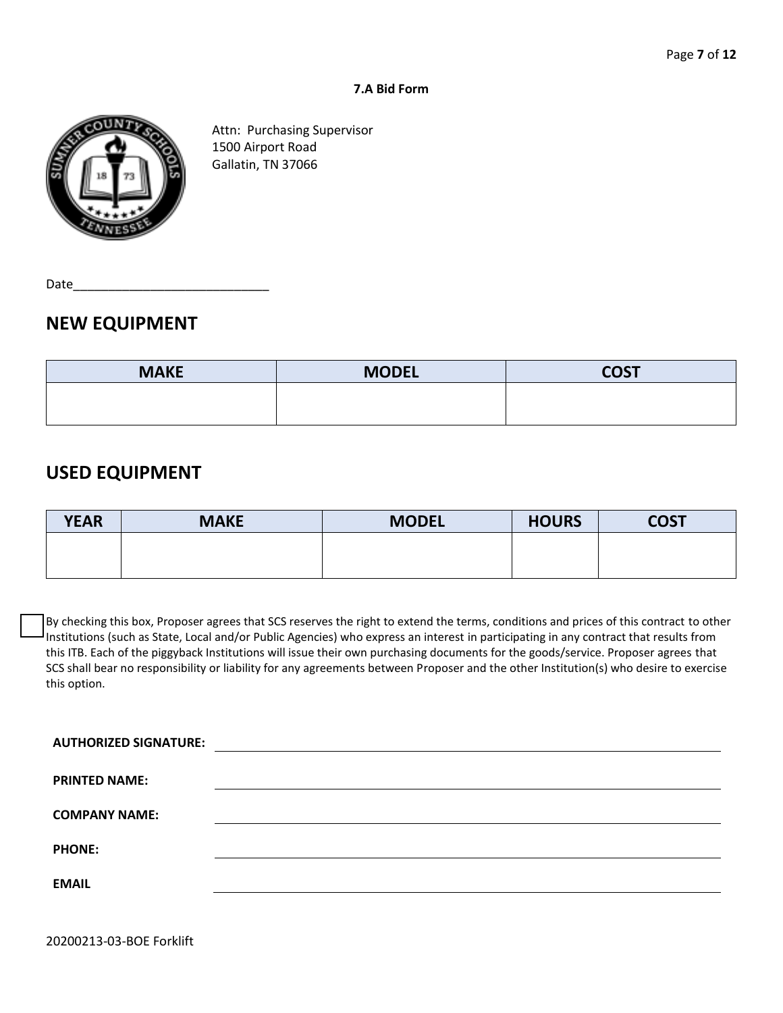#### **7.A Bid Form**



Attn: Purchasing Supervisor 1500 Airport Road Gallatin, TN 37066

Date

## **NEW EQUIPMENT**

| <b>MAKE</b> | <b>MODEL</b> | <b>COST</b> |
|-------------|--------------|-------------|
|             |              |             |
|             |              |             |

## **USED EQUIPMENT**

| <b>YEAR</b> | <b>MAKE</b> | <b>MODEL</b> | <b>HOURS</b> | <b>COST</b> |
|-------------|-------------|--------------|--------------|-------------|
|             |             |              |              |             |
|             |             |              |              |             |

By checking this box, Proposer agrees that SCS reserves the right to extend the terms, conditions and prices of this contract to other Institutions (such as State, Local and/or Public Agencies) who express an interest in participating in any contract that results from this ITB. Each of the piggyback Institutions will issue their own purchasing documents for the goods/service. Proposer agrees that SCS shall bear no responsibility or liability for any agreements between Proposer and the other Institution(s) who desire to exercise this option.

| <b>AUTHORIZED SIGNATURE:</b> |  |
|------------------------------|--|
| <b>PRINTED NAME:</b>         |  |
| <b>COMPANY NAME:</b>         |  |
| <b>PHONE:</b>                |  |
| <b>EMAIL</b>                 |  |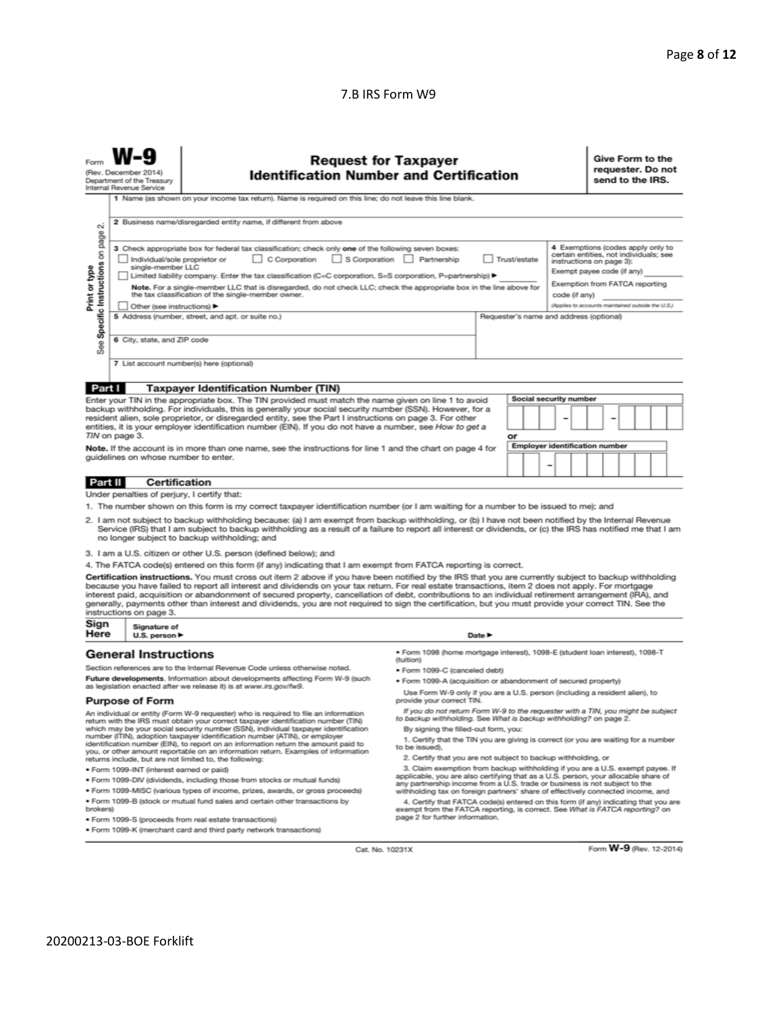#### 7.B IRS Form W9

| Give Form to the<br><b>Request for Taxpayer</b><br>requester. Do not<br>(Rev. December 2014)<br><b>Identification Number and Certification</b><br>send to the IRS.<br>Department of the Treasury<br>Internal Revenue Service<br>1 Name (as shown on your income tax return). Name is required on this line; do not leave this line blank.<br>2 Business name/disregarded entity name, if different from above                                                                                                                                                                                                                                                                                                                                                                                                                                                                                                                                                                                                                                   |                                                                                                                                    |                                                                                                                                                                                                                                                                                                                                                                                                                                                                                                                                                                                                                               |                                                                                                                                                                                                                                                                                                                                                                       |                            |    |                        |  |  |  |  |  |
|-------------------------------------------------------------------------------------------------------------------------------------------------------------------------------------------------------------------------------------------------------------------------------------------------------------------------------------------------------------------------------------------------------------------------------------------------------------------------------------------------------------------------------------------------------------------------------------------------------------------------------------------------------------------------------------------------------------------------------------------------------------------------------------------------------------------------------------------------------------------------------------------------------------------------------------------------------------------------------------------------------------------------------------------------|------------------------------------------------------------------------------------------------------------------------------------|-------------------------------------------------------------------------------------------------------------------------------------------------------------------------------------------------------------------------------------------------------------------------------------------------------------------------------------------------------------------------------------------------------------------------------------------------------------------------------------------------------------------------------------------------------------------------------------------------------------------------------|-----------------------------------------------------------------------------------------------------------------------------------------------------------------------------------------------------------------------------------------------------------------------------------------------------------------------------------------------------------------------|----------------------------|----|------------------------|--|--|--|--|--|
| σû<br>page<br>4 Exemptions (codes apply only to<br>3 Check appropriate box for federal tax classification; check only one of the following seven boxes:<br>Specific Instructions on<br>certain entities, not individuals; see<br>C Corporation<br>S Corporation Partnership<br>Individual/sole proprietor or<br>Trust/estate<br>instructions on page 3):<br>single-member LLC<br>Print or type<br>Exempt payee code (if any)<br>Limited liability company. Enter the tax classification (C=C corporation, S=S corporation, P=partnership) ▶<br>Exemption from FATCA reporting<br>Note. For a single-member LLC that is disregarded, do not check LLC; check the appropriate box in the line above for<br>the tax classification of the single-member owner.<br>code (if anv)<br>(Applies to accounts maintained outside the U.S.)<br>Other (see instructions)<br>5 Address (number, street, and apt. or suite no.)<br>Requester's name and address (optional)<br>6 City, state, and ZIP code<br>See<br>7 List account number(s) here (optional) |                                                                                                                                    |                                                                                                                                                                                                                                                                                                                                                                                                                                                                                                                                                                                                                               |                                                                                                                                                                                                                                                                                                                                                                       |                            |    |                        |  |  |  |  |  |
| Part I                                                                                                                                                                                                                                                                                                                                                                                                                                                                                                                                                                                                                                                                                                                                                                                                                                                                                                                                                                                                                                          |                                                                                                                                    | <b>Taxpayer Identification Number (TIN)</b>                                                                                                                                                                                                                                                                                                                                                                                                                                                                                                                                                                                   |                                                                                                                                                                                                                                                                                                                                                                       |                            |    |                        |  |  |  |  |  |
|                                                                                                                                                                                                                                                                                                                                                                                                                                                                                                                                                                                                                                                                                                                                                                                                                                                                                                                                                                                                                                                 |                                                                                                                                    | Enter your TIN in the appropriate box. The TIN provided must match the name given on line 1 to avoid                                                                                                                                                                                                                                                                                                                                                                                                                                                                                                                          |                                                                                                                                                                                                                                                                                                                                                                       |                            |    | Social security number |  |  |  |  |  |
|                                                                                                                                                                                                                                                                                                                                                                                                                                                                                                                                                                                                                                                                                                                                                                                                                                                                                                                                                                                                                                                 | TIN on page 3.                                                                                                                     | backup withholding. For individuals, this is generally your social security number (SSN). However, for a<br>resident alien, sole proprietor, or disregarded entity, see the Part I instructions on page 3. For other<br>entities, it is your employer identification number (EIN). If you do not have a number, see How to get a                                                                                                                                                                                                                                                                                              |                                                                                                                                                                                                                                                                                                                                                                       |                            | or |                        |  |  |  |  |  |
| <b>Employer identification number</b><br>Note. If the account is in more than one name, see the instructions for line 1 and the chart on page 4 for<br>guidelines on whose number to enter.                                                                                                                                                                                                                                                                                                                                                                                                                                                                                                                                                                                                                                                                                                                                                                                                                                                     |                                                                                                                                    |                                                                                                                                                                                                                                                                                                                                                                                                                                                                                                                                                                                                                               |                                                                                                                                                                                                                                                                                                                                                                       |                            |    |                        |  |  |  |  |  |
| Part II                                                                                                                                                                                                                                                                                                                                                                                                                                                                                                                                                                                                                                                                                                                                                                                                                                                                                                                                                                                                                                         | <b>Certification</b>                                                                                                               |                                                                                                                                                                                                                                                                                                                                                                                                                                                                                                                                                                                                                               |                                                                                                                                                                                                                                                                                                                                                                       |                            |    |                        |  |  |  |  |  |
|                                                                                                                                                                                                                                                                                                                                                                                                                                                                                                                                                                                                                                                                                                                                                                                                                                                                                                                                                                                                                                                 | Under penalties of perjury, I certify that:                                                                                        |                                                                                                                                                                                                                                                                                                                                                                                                                                                                                                                                                                                                                               |                                                                                                                                                                                                                                                                                                                                                                       |                            |    |                        |  |  |  |  |  |
|                                                                                                                                                                                                                                                                                                                                                                                                                                                                                                                                                                                                                                                                                                                                                                                                                                                                                                                                                                                                                                                 |                                                                                                                                    | 1. The number shown on this form is my correct taxpayer identification number (or I am waiting for a number to be issued to me); and                                                                                                                                                                                                                                                                                                                                                                                                                                                                                          |                                                                                                                                                                                                                                                                                                                                                                       |                            |    |                        |  |  |  |  |  |
|                                                                                                                                                                                                                                                                                                                                                                                                                                                                                                                                                                                                                                                                                                                                                                                                                                                                                                                                                                                                                                                 |                                                                                                                                    | 2. I am not subject to backup withholding because: (a) I am exempt from backup withholding, or (b) I have not been notified by the Internal Revenue<br>Service (IRS) that I am subject to backup withholding as a result of a failure to report all interest or dividends, or (c) the IRS has notified me that I am<br>no longer subject to backup withholding; and                                                                                                                                                                                                                                                           |                                                                                                                                                                                                                                                                                                                                                                       |                            |    |                        |  |  |  |  |  |
|                                                                                                                                                                                                                                                                                                                                                                                                                                                                                                                                                                                                                                                                                                                                                                                                                                                                                                                                                                                                                                                 |                                                                                                                                    | 3. I am a U.S. citizen or other U.S. person (defined below); and                                                                                                                                                                                                                                                                                                                                                                                                                                                                                                                                                              |                                                                                                                                                                                                                                                                                                                                                                       |                            |    |                        |  |  |  |  |  |
|                                                                                                                                                                                                                                                                                                                                                                                                                                                                                                                                                                                                                                                                                                                                                                                                                                                                                                                                                                                                                                                 |                                                                                                                                    | 4. The FATCA code(s) entered on this form (if any) indicating that I am exempt from FATCA reporting is correct.                                                                                                                                                                                                                                                                                                                                                                                                                                                                                                               |                                                                                                                                                                                                                                                                                                                                                                       |                            |    |                        |  |  |  |  |  |
|                                                                                                                                                                                                                                                                                                                                                                                                                                                                                                                                                                                                                                                                                                                                                                                                                                                                                                                                                                                                                                                 | instructions on page 3.                                                                                                            | Certification instructions. You must cross out item 2 above if you have been notified by the IRS that you are currently subject to backup withholding<br>because you have failed to report all interest and dividends on your tax return. For real estate transactions, item 2 does not apply. For mortgage<br>interest paid, acquisition or abandonment of secured property, cancellation of debt, contributions to an individual retirement arrangement (IRA), and<br>generally, payments other than interest and dividends, you are not required to sign the certification, but you must provide your correct TIN. See the |                                                                                                                                                                                                                                                                                                                                                                       |                            |    |                        |  |  |  |  |  |
| Sign<br>Here                                                                                                                                                                                                                                                                                                                                                                                                                                                                                                                                                                                                                                                                                                                                                                                                                                                                                                                                                                                                                                    | Signature of<br>U.S. person $\blacktriangleright$                                                                                  |                                                                                                                                                                                                                                                                                                                                                                                                                                                                                                                                                                                                                               |                                                                                                                                                                                                                                                                                                                                                                       | Date $\blacktriangleright$ |    |                        |  |  |  |  |  |
|                                                                                                                                                                                                                                                                                                                                                                                                                                                                                                                                                                                                                                                                                                                                                                                                                                                                                                                                                                                                                                                 | <b>General Instructions</b>                                                                                                        |                                                                                                                                                                                                                                                                                                                                                                                                                                                                                                                                                                                                                               | · Form 1098 (home mortgage interest), 1098-E (student loan interest), 1098-T<br>(tuition)                                                                                                                                                                                                                                                                             |                            |    |                        |  |  |  |  |  |
|                                                                                                                                                                                                                                                                                                                                                                                                                                                                                                                                                                                                                                                                                                                                                                                                                                                                                                                                                                                                                                                 |                                                                                                                                    | Section references are to the Internal Revenue Code unless otherwise noted.                                                                                                                                                                                                                                                                                                                                                                                                                                                                                                                                                   | · Form 1099-C (canceled debt)                                                                                                                                                                                                                                                                                                                                         |                            |    |                        |  |  |  |  |  |
| Future developments. Information about developments affecting Form W-9 (such<br>as legislation enacted after we release it) is at www.irs.gov/fw9.                                                                                                                                                                                                                                                                                                                                                                                                                                                                                                                                                                                                                                                                                                                                                                                                                                                                                              |                                                                                                                                    |                                                                                                                                                                                                                                                                                                                                                                                                                                                                                                                                                                                                                               | · Form 1099-A (acquisition or abandonment of secured property)                                                                                                                                                                                                                                                                                                        |                            |    |                        |  |  |  |  |  |
|                                                                                                                                                                                                                                                                                                                                                                                                                                                                                                                                                                                                                                                                                                                                                                                                                                                                                                                                                                                                                                                 | Use Form W-9 only if you are a U.S. person (including a resident alien), to<br><b>Purpose of Form</b><br>provide your correct TIN. |                                                                                                                                                                                                                                                                                                                                                                                                                                                                                                                                                                                                                               |                                                                                                                                                                                                                                                                                                                                                                       |                            |    |                        |  |  |  |  |  |
| An individual or entity (Form W-9 requester) who is required to file an information<br>return with the IRS must obtain your correct taxpayer identification number (TIN)<br>which may be your social security number (SSN), individual taxpayer identification<br>number (ITIN), adoption taxpayer identification number (ATIN), or employer<br>identification number (EIN), to report on an information return the amount paid to<br>you, or other amount reportable on an information return. Examples of information<br>returns include, but are not limited to, the following:                                                                                                                                                                                                                                                                                                                                                                                                                                                              |                                                                                                                                    |                                                                                                                                                                                                                                                                                                                                                                                                                                                                                                                                                                                                                               | If you do not return Form W-9 to the requester with a TIN, you might be subject<br>to backup withholding. See What is backup withholding? on page 2.<br>By signing the filled-out form, you:<br>1. Certify that the TIN you are giving is correct (or you are waiting for a number<br>to be issued).<br>2. Certify that you are not subject to backup withholding, or |                            |    |                        |  |  |  |  |  |
|                                                                                                                                                                                                                                                                                                                                                                                                                                                                                                                                                                                                                                                                                                                                                                                                                                                                                                                                                                                                                                                 | · Form 1099-INT (interest earned or paid)                                                                                          |                                                                                                                                                                                                                                                                                                                                                                                                                                                                                                                                                                                                                               | 3. Claim exemption from backup withholding if you are a U.S. exempt payee. If<br>applicable, you are also certifying that as a U.S. person, your allocable share of                                                                                                                                                                                                   |                            |    |                        |  |  |  |  |  |
|                                                                                                                                                                                                                                                                                                                                                                                                                                                                                                                                                                                                                                                                                                                                                                                                                                                                                                                                                                                                                                                 |                                                                                                                                    | . Form 1099-DIV (dividends, including those from stocks or mutual funds)                                                                                                                                                                                                                                                                                                                                                                                                                                                                                                                                                      | any partnership income from a U.S. trade or business is not subject to the                                                                                                                                                                                                                                                                                            |                            |    |                        |  |  |  |  |  |
|                                                                                                                                                                                                                                                                                                                                                                                                                                                                                                                                                                                                                                                                                                                                                                                                                                                                                                                                                                                                                                                 |                                                                                                                                    | * Form 1099-MISC (various types of income, prizes, awards, or gross proceeds)                                                                                                                                                                                                                                                                                                                                                                                                                                                                                                                                                 | withholding tax on foreign partners' share of effectively connected income, and                                                                                                                                                                                                                                                                                       |                            |    |                        |  |  |  |  |  |
| . Form 1099-B (stock or mutual fund sales and certain other transactions by<br>brokers)<br>· Form 1099-S (proceeds from real estate transactions)                                                                                                                                                                                                                                                                                                                                                                                                                                                                                                                                                                                                                                                                                                                                                                                                                                                                                               |                                                                                                                                    | 4. Certify that FATCA code(s) entered on this form (if any) indicating that you are<br>exempt from the FATCA reporting, is correct. See What is FATCA reporting? on<br>page 2 for further information.                                                                                                                                                                                                                                                                                                                                                                                                                        |                                                                                                                                                                                                                                                                                                                                                                       |                            |    |                        |  |  |  |  |  |

· Form 1099-K (merchant card and third party network transactions)

Cat. No. 10231X

Form W-9 (Rev. 12-2014)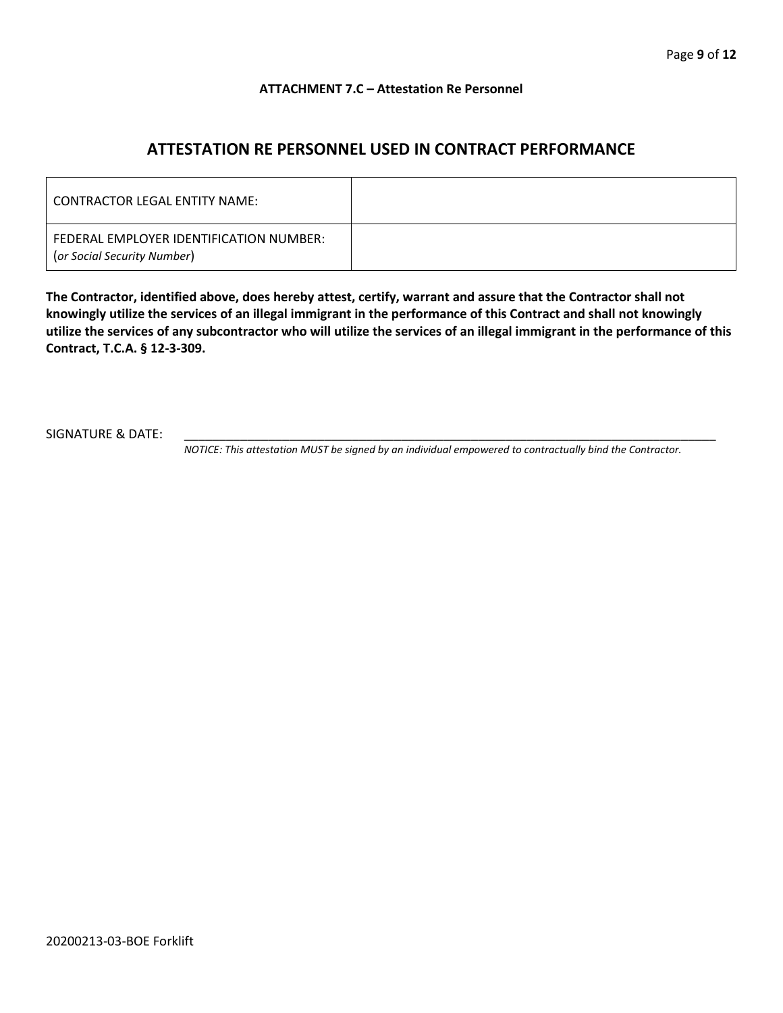#### **ATTACHMENT 7.C – Attestation Re Personnel**

## **ATTESTATION RE PERSONNEL USED IN CONTRACT PERFORMANCE**

| CONTRACTOR LEGAL ENTITY NAME:                                          |  |
|------------------------------------------------------------------------|--|
| FEDERAL EMPLOYER IDENTIFICATION NUMBER:<br>(or Social Security Number) |  |

**The Contractor, identified above, does hereby attest, certify, warrant and assure that the Contractor shall not knowingly utilize the services of an illegal immigrant in the performance of this Contract and shall not knowingly utilize the services of any subcontractor who will utilize the services of an illegal immigrant in the performance of this Contract, T.C.A. § 12-3-309.**

SIGNATURE & DATE:

*NOTICE: This attestation MUST be signed by an individual empowered to contractually bind the Contractor.*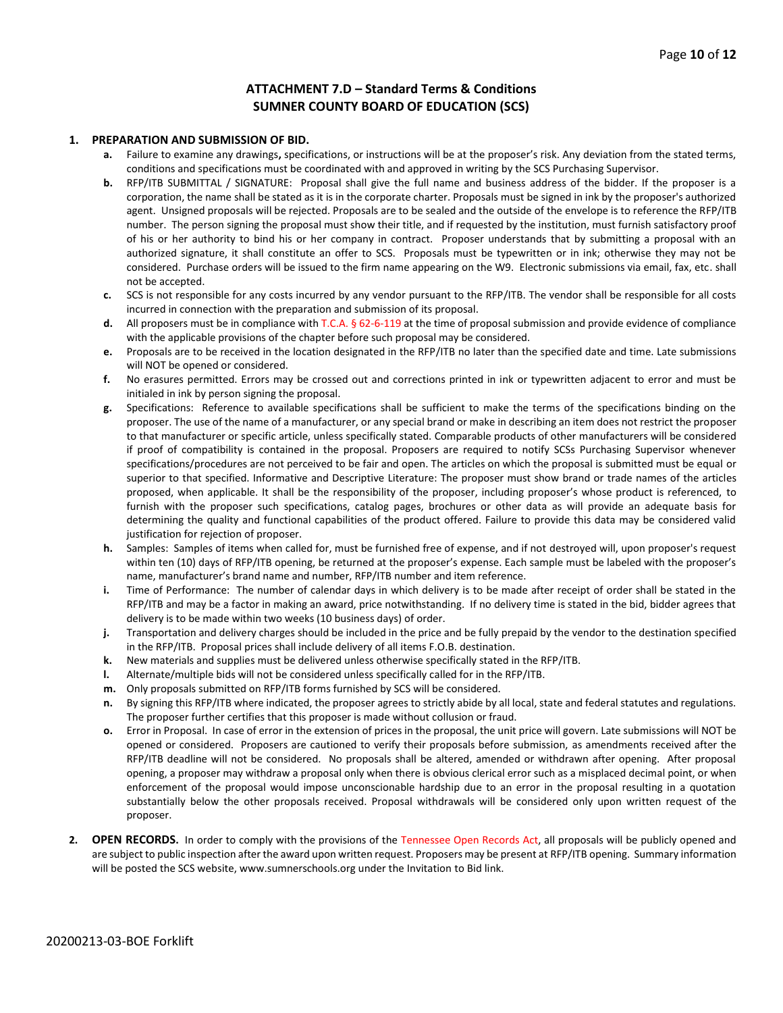#### **ATTACHMENT 7.D – Standard Terms & Conditions SUMNER COUNTY BOARD OF EDUCATION (SCS)**

#### **1. PREPARATION AND SUBMISSION OF BID.**

- **a.** Failure to examine any drawings**,** specifications, or instructions will be at the proposer's risk. Any deviation from the stated terms, conditions and specifications must be coordinated with and approved in writing by the SCS Purchasing Supervisor.
- **b.** RFP/ITB SUBMITTAL / SIGNATURE: Proposal shall give the full name and business address of the bidder. If the proposer is a corporation, the name shall be stated as it is in the corporate charter. Proposals must be signed in ink by the proposer's authorized agent. Unsigned proposals will be rejected. Proposals are to be sealed and the outside of the envelope is to reference the RFP/ITB number. The person signing the proposal must show their title, and if requested by the institution, must furnish satisfactory proof of his or her authority to bind his or her company in contract. Proposer understands that by submitting a proposal with an authorized signature, it shall constitute an offer to SCS. Proposals must be typewritten or in ink; otherwise they may not be considered. Purchase orders will be issued to the firm name appearing on the W9. Electronic submissions via email, fax, etc. shall not be accepted.
- **c.** SCS is not responsible for any costs incurred by any vendor pursuant to the RFP/ITB. The vendor shall be responsible for all costs incurred in connection with the preparation and submission of its proposal.
- **d.** All proposers must be in compliance with T.C.A. § 62-6-119 at the time of proposal submission and provide evidence of compliance with the applicable provisions of the chapter before such proposal may be considered.
- **e.** Proposals are to be received in the location designated in the RFP/ITB no later than the specified date and time. Late submissions will NOT be opened or considered.
- **f.** No erasures permitted. Errors may be crossed out and corrections printed in ink or typewritten adjacent to error and must be initialed in ink by person signing the proposal.
- **g.** Specifications: Reference to available specifications shall be sufficient to make the terms of the specifications binding on the proposer. The use of the name of a manufacturer, or any special brand or make in describing an item does not restrict the proposer to that manufacturer or specific article, unless specifically stated. Comparable products of other manufacturers will be considered if proof of compatibility is contained in the proposal. Proposers are required to notify SCSs Purchasing Supervisor whenever specifications/procedures are not perceived to be fair and open. The articles on which the proposal is submitted must be equal or superior to that specified. Informative and Descriptive Literature: The proposer must show brand or trade names of the articles proposed, when applicable. It shall be the responsibility of the proposer, including proposer's whose product is referenced, to furnish with the proposer such specifications, catalog pages, brochures or other data as will provide an adequate basis for determining the quality and functional capabilities of the product offered. Failure to provide this data may be considered valid justification for rejection of proposer.
- **h.** Samples: Samples of items when called for, must be furnished free of expense, and if not destroyed will, upon proposer's request within ten (10) days of RFP/ITB opening, be returned at the proposer's expense. Each sample must be labeled with the proposer's name, manufacturer's brand name and number, RFP/ITB number and item reference.
- **i.** Time of Performance: The number of calendar days in which delivery is to be made after receipt of order shall be stated in the RFP/ITB and may be a factor in making an award, price notwithstanding. If no delivery time is stated in the bid, bidder agrees that delivery is to be made within two weeks (10 business days) of order.
- **j.** Transportation and delivery charges should be included in the price and be fully prepaid by the vendor to the destination specified in the RFP/ITB. Proposal prices shall include delivery of all items F.O.B. destination.
- **k.** New materials and supplies must be delivered unless otherwise specifically stated in the RFP/ITB.
- **l.** Alternate/multiple bids will not be considered unless specifically called for in the RFP/ITB.
- **m.** Only proposals submitted on RFP/ITB forms furnished by SCS will be considered.
- **n.** By signing this RFP/ITB where indicated, the proposer agrees to strictly abide by all local, state and federal statutes and regulations. The proposer further certifies that this proposer is made without collusion or fraud.
- **o.** Error in Proposal. In case of error in the extension of prices in the proposal, the unit price will govern. Late submissions will NOT be opened or considered. Proposers are cautioned to verify their proposals before submission, as amendments received after the RFP/ITB deadline will not be considered. No proposals shall be altered, amended or withdrawn after opening. After proposal opening, a proposer may withdraw a proposal only when there is obvious clerical error such as a misplaced decimal point, or when enforcement of the proposal would impose unconscionable hardship due to an error in the proposal resulting in a quotation substantially below the other proposals received. Proposal withdrawals will be considered only upon written request of the proposer.
- **2. OPEN RECORDS.** In order to comply with the provisions of the Tennessee Open Records Act, all proposals will be publicly opened and are subject to public inspection after the award upon written request. Proposers may be present at RFP/ITB opening. Summary information will be posted the SCS website, www.sumnerschools.org under the Invitation to Bid link.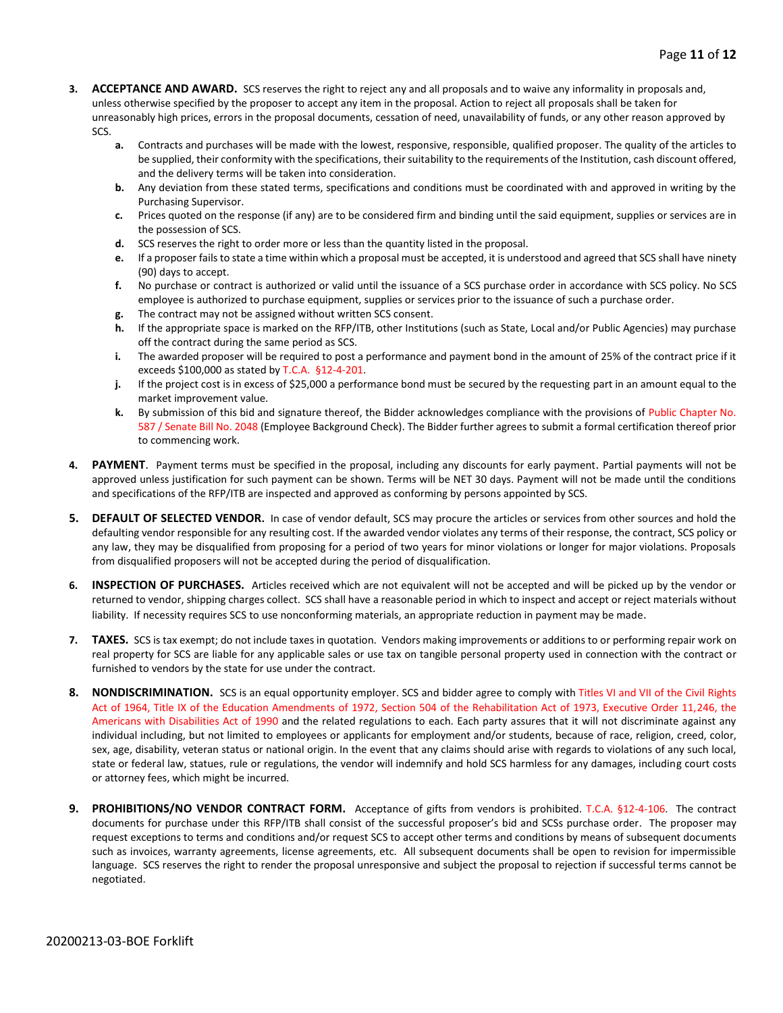- **3. ACCEPTANCE AND AWARD.** SCS reserves the right to reject any and all proposals and to waive any informality in proposals and, unless otherwise specified by the proposer to accept any item in the proposal. Action to reject all proposals shall be taken for unreasonably high prices, errors in the proposal documents, cessation of need, unavailability of funds, or any other reason approved by SCS.
	- **a.** Contracts and purchases will be made with the lowest, responsive, responsible, qualified proposer. The quality of the articles to be supplied, their conformity with the specifications, their suitability to the requirements of the Institution, cash discount offered, and the delivery terms will be taken into consideration.
	- **b.** Any deviation from these stated terms, specifications and conditions must be coordinated with and approved in writing by the Purchasing Supervisor.
	- **c.** Prices quoted on the response (if any) are to be considered firm and binding until the said equipment, supplies or services are in the possession of SCS.
	- **d.** SCS reserves the right to order more or less than the quantity listed in the proposal.
	- **e.** If a proposer fails to state a time within which a proposal must be accepted, it is understood and agreed that SCS shall have ninety (90) days to accept.
	- **f.** No purchase or contract is authorized or valid until the issuance of a SCS purchase order in accordance with SCS policy. No SCS employee is authorized to purchase equipment, supplies or services prior to the issuance of such a purchase order.
	- **g.** The contract may not be assigned without written SCS consent.
	- **h.** If the appropriate space is marked on the RFP/ITB, other Institutions (such as State, Local and/or Public Agencies) may purchase off the contract during the same period as SCS.
	- **i.** The awarded proposer will be required to post a performance and payment bond in the amount of 25% of the contract price if it exceeds \$100,000 as stated by T.C.A. §12-4-201.
	- **j.** If the project cost is in excess of \$25,000 a performance bond must be secured by the requesting part in an amount equal to the market improvement value.
	- **k.** By submission of this bid and signature thereof, the Bidder acknowledges compliance with the provisions of Public Chapter No. 587 / Senate Bill No. 2048 (Employee Background Check). The Bidder further agrees to submit a formal certification thereof prior to commencing work.
- **4. PAYMENT**. Payment terms must be specified in the proposal, including any discounts for early payment. Partial payments will not be approved unless justification for such payment can be shown. Terms will be NET 30 days. Payment will not be made until the conditions and specifications of the RFP/ITB are inspected and approved as conforming by persons appointed by SCS.
- **5. DEFAULT OF SELECTED VENDOR.** In case of vendor default, SCS may procure the articles or services from other sources and hold the defaulting vendor responsible for any resulting cost. If the awarded vendor violates any terms of their response, the contract, SCS policy or any law, they may be disqualified from proposing for a period of two years for minor violations or longer for major violations. Proposals from disqualified proposers will not be accepted during the period of disqualification.
- **6. INSPECTION OF PURCHASES.** Articles received which are not equivalent will not be accepted and will be picked up by the vendor or returned to vendor, shipping charges collect. SCS shall have a reasonable period in which to inspect and accept or reject materials without liability. If necessity requires SCS to use nonconforming materials, an appropriate reduction in payment may be made.
- **7. TAXES.** SCS is tax exempt; do not include taxes in quotation. Vendors making improvements or additions to or performing repair work on real property for SCS are liable for any applicable sales or use tax on tangible personal property used in connection with the contract or furnished to vendors by the state for use under the contract.
- **8. NONDISCRIMINATION.** SCS is an equal opportunity employer. SCS and bidder agree to comply with Titles VI and VII of the Civil Rights Act of 1964, Title IX of the Education Amendments of 1972, Section 504 of the Rehabilitation Act of 1973, Executive Order 11,246, the Americans with Disabilities Act of 1990 and the related regulations to each. Each party assures that it will not discriminate against any individual including, but not limited to employees or applicants for employment and/or students, because of race, religion, creed, color, sex, age, disability, veteran status or national origin. In the event that any claims should arise with regards to violations of any such local, state or federal law, statues, rule or regulations, the vendor will indemnify and hold SCS harmless for any damages, including court costs or attorney fees, which might be incurred.
- **9. PROHIBITIONS/NO VENDOR CONTRACT FORM.** Acceptance of gifts from vendors is prohibited. T.C.A. §12-4-106. The contract documents for purchase under this RFP/ITB shall consist of the successful proposer's bid and SCSs purchase order. The proposer may request exceptions to terms and conditions and/or request SCS to accept other terms and conditions by means of subsequent documents such as invoices, warranty agreements, license agreements, etc. All subsequent documents shall be open to revision for impermissible language. SCS reserves the right to render the proposal unresponsive and subject the proposal to rejection if successful terms cannot be negotiated.